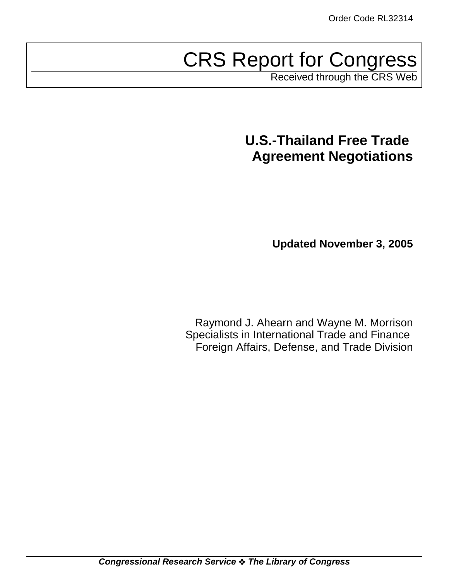# CRS Report for Congress

Received through the CRS Web

## **U.S.-Thailand Free Trade Agreement Negotiations**

**Updated November 3, 2005**

Raymond J. Ahearn and Wayne M. Morrison Specialists in International Trade and Finance Foreign Affairs, Defense, and Trade Division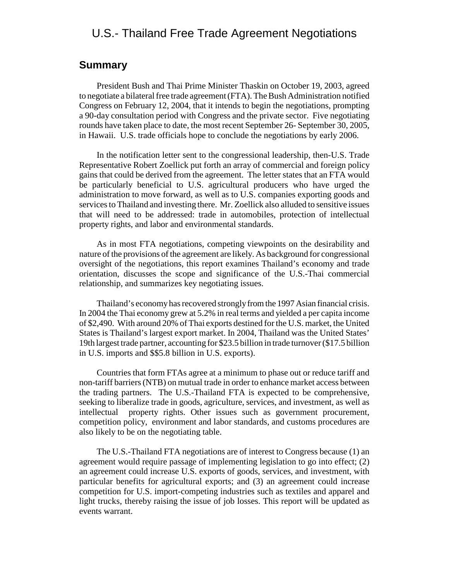## U.S.- Thailand Free Trade Agreement Negotiations

#### **Summary**

President Bush and Thai Prime Minister Thaskin on October 19, 2003, agreed to negotiate a bilateral free trade agreement (FTA). The Bush Administration notified Congress on February 12, 2004, that it intends to begin the negotiations, prompting a 90-day consultation period with Congress and the private sector. Five negotiating rounds have taken place to date, the most recent September 26- September 30, 2005, in Hawaii. U.S. trade officials hope to conclude the negotiations by early 2006.

In the notification letter sent to the congressional leadership, then-U.S. Trade Representative Robert Zoellick put forth an array of commercial and foreign policy gains that could be derived from the agreement. The letter states that an FTA would be particularly beneficial to U.S. agricultural producers who have urged the administration to move forward, as well as to U.S. companies exporting goods and services to Thailand and investing there. Mr. Zoellick also alluded to sensitive issues that will need to be addressed: trade in automobiles, protection of intellectual property rights, and labor and environmental standards.

As in most FTA negotiations, competing viewpoints on the desirability and nature of the provisions of the agreement are likely. As background for congressional oversight of the negotiations, this report examines Thailand's economy and trade orientation, discusses the scope and significance of the U.S.-Thai commercial relationship, and summarizes key negotiating issues.

Thailand's economy has recovered strongly from the 1997 Asian financial crisis. In 2004 the Thai economy grew at 5.2% in real terms and yielded a per capita income of \$2,490. With around 20% of Thai exports destined for the U.S. market, the United States is Thailand's largest export market. In 2004, Thailand was the United States' 19th largest trade partner, accounting for \$23.5 billion in trade turnover (\$17.5 billion in U.S. imports and \$\$5.8 billion in U.S. exports).

Countries that form FTAs agree at a minimum to phase out or reduce tariff and non-tariff barriers (NTB) on mutual trade in order to enhance market access between the trading partners. The U.S.-Thailand FTA is expected to be comprehensive, seeking to liberalize trade in goods, agriculture, services, and investment, as well as intellectual property rights. Other issues such as government procurement, competition policy, environment and labor standards, and customs procedures are also likely to be on the negotiating table.

The U.S.-Thailand FTA negotiations are of interest to Congress because (1) an agreement would require passage of implementing legislation to go into effect; (2) an agreement could increase U.S. exports of goods, services, and investment, with particular benefits for agricultural exports; and (3) an agreement could increase competition for U.S. import-competing industries such as textiles and apparel and light trucks, thereby raising the issue of job losses. This report will be updated as events warrant.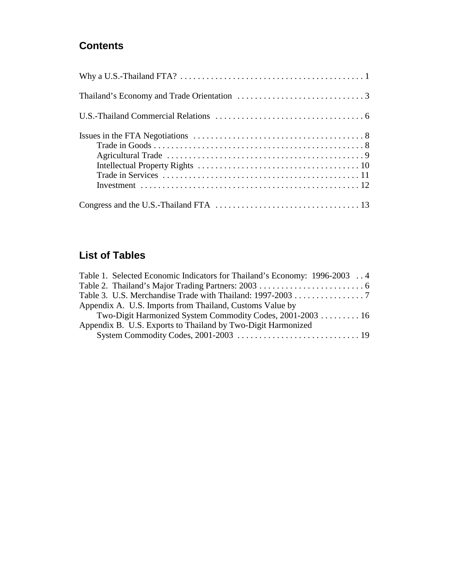## **Contents**

## **List of Tables**

| Table 1. Selected Economic Indicators for Thailand's Economy: 1996-2003  4 |  |
|----------------------------------------------------------------------------|--|
|                                                                            |  |
| Table 3. U.S. Merchandise Trade with Thailand: 1997-2003 7                 |  |
| Appendix A. U.S. Imports from Thailand, Customs Value by                   |  |
| Two-Digit Harmonized System Commodity Codes, 2001-2003  16                 |  |
| Appendix B. U.S. Exports to Thailand by Two-Digit Harmonized               |  |
|                                                                            |  |
|                                                                            |  |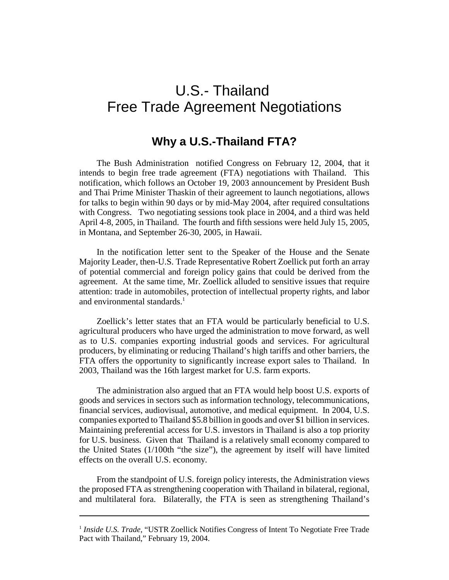## U.S.- Thailand Free Trade Agreement Negotiations

## **Why a U.S.-Thailand FTA?**

The Bush Administration notified Congress on February 12, 2004, that it intends to begin free trade agreement (FTA) negotiations with Thailand. This notification, which follows an October 19, 2003 announcement by President Bush and Thai Prime Minister Thaskin of their agreement to launch negotiations, allows for talks to begin within 90 days or by mid-May 2004, after required consultations with Congress. Two negotiating sessions took place in 2004, and a third was held April 4-8, 2005, in Thailand. The fourth and fifth sessions were held July 15, 2005, in Montana, and September 26-30, 2005, in Hawaii.

In the notification letter sent to the Speaker of the House and the Senate Majority Leader, then-U.S. Trade Representative Robert Zoellick put forth an array of potential commercial and foreign policy gains that could be derived from the agreement. At the same time, Mr. Zoellick alluded to sensitive issues that require attention: trade in automobiles, protection of intellectual property rights, and labor and environmental standards.<sup>1</sup>

Zoellick's letter states that an FTA would be particularly beneficial to U.S. agricultural producers who have urged the administration to move forward, as well as to U.S. companies exporting industrial goods and services. For agricultural producers, by eliminating or reducing Thailand's high tariffs and other barriers, the FTA offers the opportunity to significantly increase export sales to Thailand. In 2003, Thailand was the 16th largest market for U.S. farm exports.

The administration also argued that an FTA would help boost U.S. exports of goods and services in sectors such as information technology, telecommunications, financial services, audiovisual, automotive, and medical equipment. In 2004, U.S. companies exported to Thailand \$5.8 billion in goods and over \$1 billion in services. Maintaining preferential access for U.S. investors in Thailand is also a top priority for U.S. business. Given that Thailand is a relatively small economy compared to the United States (1/100th "the size"), the agreement by itself will have limited effects on the overall U.S. economy.

From the standpoint of U.S. foreign policy interests, the Administration views the proposed FTA as strengthening cooperation with Thailand in bilateral, regional, and multilateral fora. Bilaterally, the FTA is seen as strengthening Thailand's

<sup>&</sup>lt;sup>1</sup> *Inside U.S. Trade,* "USTR Zoellick Notifies Congress of Intent To Negotiate Free Trade Pact with Thailand," February 19, 2004.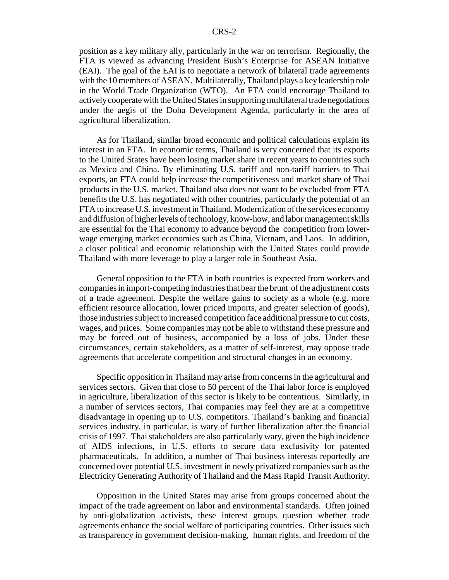position as a key military ally, particularly in the war on terrorism. Regionally, the FTA is viewed as advancing President Bush's Enterprise for ASEAN Initiative (EAI). The goal of the EAI is to negotiate a network of bilateral trade agreements with the 10 members of ASEAN. Multilaterally, Thailand plays a key leadership role in the World Trade Organization (WTO). An FTA could encourage Thailand to actively cooperate with the United States in supporting multilateral trade negotiations under the aegis of the Doha Development Agenda, particularly in the area of agricultural liberalization.

As for Thailand, similar broad economic and political calculations explain its interest in an FTA. In economic terms, Thailand is very concerned that its exports to the United States have been losing market share in recent years to countries such as Mexico and China. By eliminating U.S. tariff and non-tariff barriers to Thai exports, an FTA could help increase the competitiveness and market share of Thai products in the U.S. market. Thailand also does not want to be excluded from FTA benefits the U.S. has negotiated with other countries, particularly the potential of an FTA to increase U.S. investment in Thailand. Modernization of the services economy and diffusion of higher levels of technology, know-how, and labor management skills are essential for the Thai economy to advance beyond the competition from lowerwage emerging market economies such as China, Vietnam, and Laos. In addition, a closer political and economic relationship with the United States could provide Thailand with more leverage to play a larger role in Southeast Asia.

General opposition to the FTA in both countries is expected from workers and companies in import-competing industries that bear the brunt of the adjustment costs of a trade agreement. Despite the welfare gains to society as a whole (e.g. more efficient resource allocation, lower priced imports, and greater selection of goods), those industries subject to increased competition face additional pressure to cut costs, wages, and prices. Some companies may not be able to withstand these pressure and may be forced out of business, accompanied by a loss of jobs. Under these circumstances, certain stakeholders, as a matter of self-interest, may oppose trade agreements that accelerate competition and structural changes in an economy.

Specific opposition in Thailand may arise from concerns in the agricultural and services sectors. Given that close to 50 percent of the Thai labor force is employed in agriculture, liberalization of this sector is likely to be contentious. Similarly, in a number of services sectors, Thai companies may feel they are at a competitive disadvantage in opening up to U.S. competitors. Thailand's banking and financial services industry, in particular, is wary of further liberalization after the financial crisis of 1997. Thai stakeholders are also particularly wary, given the high incidence of AIDS infections, in U.S. efforts to secure data exclusivity for patented pharmaceuticals. In addition, a number of Thai business interests reportedly are concerned over potential U.S. investment in newly privatized companies such as the Electricity Generating Authority of Thailand and the Mass Rapid Transit Authority.

Opposition in the United States may arise from groups concerned about the impact of the trade agreement on labor and environmental standards. Often joined by anti-globalization activists, these interest groups question whether trade agreements enhance the social welfare of participating countries. Other issues such as transparency in government decision-making, human rights, and freedom of the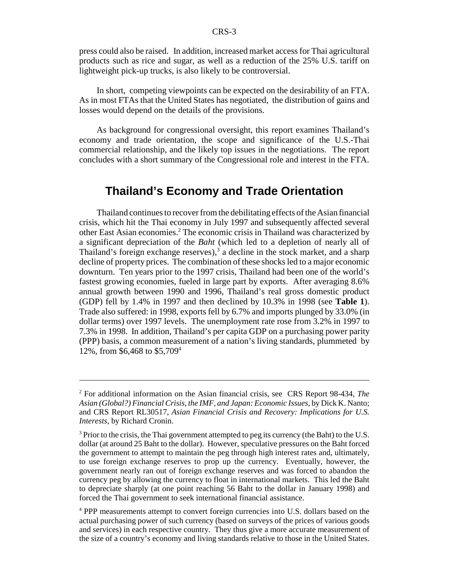press could also be raised. In addition, increased market access for Thai agricultural products such as rice and sugar, as well as a reduction of the 25% U.S. tariff on lightweight pick-up trucks, is also likely to be controversial.

In short, competing viewpoints can be expected on the desirability of an FTA. As in most FTAs that the United States has negotiated, the distribution of gains and losses would depend on the details of the provisions.

As background for congressional oversight, this report examines Thailand's economy and trade orientation, the scope and significance of the U.S.-Thai commercial relationship, and the likely top issues in the negotiations. The report concludes with a short summary of the Congressional role and interest in the FTA.

## **Thailand's Economy and Trade Orientation**

Thailand continues to recover from the debilitating effects of the Asian financial crisis, which hit the Thai economy in July 1997 and subsequently affected several other East Asian economies.<sup>2</sup> The economic crisis in Thailand was characterized by a significant depreciation of the *Baht* (which led to a depletion of nearly all of Thailand's foreign exchange reserves),<sup>3</sup> a decline in the stock market, and a sharp decline of property prices. The combination of these shocks led to a major economic downturn. Ten years prior to the 1997 crisis, Thailand had been one of the world's fastest growing economies, fueled in large part by exports. After averaging 8.6% annual growth between 1990 and 1996, Thailand's real gross domestic product (GDP) fell by 1.4% in 1997 and then declined by 10.3% in 1998 (see **Table 1**). Trade also suffered: in 1998, exports fell by 6.7% and imports plunged by 33.0% (in dollar terms) over 1997 levels. The unemployment rate rose from 3.2% in 1997 to 7.3% in 1998. In addition, Thailand's per capita GDP on a purchasing power parity (PPP) basis, a common measurement of a nation's living standards, plummeted by 12%, from \$6,468 to \$5,7094

<sup>2</sup> For additional information on the Asian financial crisis, see CRS Report 98-434, *The Asian (Global?) Financial Crisis, the IMF, and Japan: Economic Issues*, by Dick K. Nanto; and CRS Report RL30517, *Asian Financial Crisis and Recovery: Implications for U.S. Interests*, by Richard Cronin.

 $3$  Prior to the crisis, the Thai government attempted to peg its currency (the Baht) to the U.S. dollar (at around 25 Baht to the dollar). However, speculative pressures on the Baht forced the government to attempt to maintain the peg through high interest rates and, ultimately, to use foreign exchange reserves to prop up the currency. Eventually, however, the government nearly ran out of foreign exchange reserves and was forced to abandon the currency peg by allowing the currency to float in international markets. This led the Baht to depreciate sharply (at one point reaching 56 Baht to the dollar in January 1998) and forced the Thai government to seek international financial assistance.

<sup>&</sup>lt;sup>4</sup> PPP measurements attempt to convert foreign currencies into U.S. dollars based on the actual purchasing power of such currency (based on surveys of the prices of various goods and services) in each respective country. They thus give a more accurate measurement of the size of a country's economy and living standards relative to those in the United States.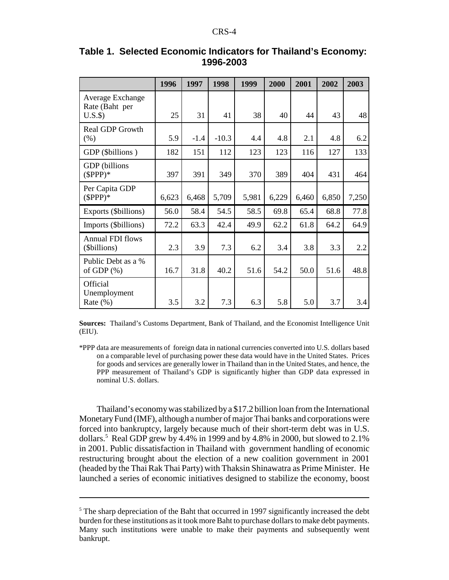|                                               | 1996  | 1997   | 1998    | 1999  | 2000  | 2001  | 2002  | 2003  |
|-----------------------------------------------|-------|--------|---------|-------|-------|-------|-------|-------|
| Average Exchange<br>Rate (Baht per<br>$U.S.\$ | 25    | 31     | 41      | 38    | 40    | 44    | 43    | 48    |
|                                               |       |        |         |       |       |       |       |       |
| <b>Real GDP Growth</b><br>(% )                | 5.9   | $-1.4$ | $-10.3$ | 4.4   | 4.8   | 2.1   | 4.8   | 6.2   |
| GDP (\$billions)                              | 182   | 151    | 112     | 123   | 123   | 116   | 127   | 133   |
| GDP (billions<br>$(SPPP)*$                    | 397   | 391    | 349     | 370   | 389   | 404   | 431   | 464   |
| Per Capita GDP<br>$(SPPP)*$                   | 6,623 | 6,468  | 5,709   | 5,981 | 6,229 | 6,460 | 6,850 | 7,250 |
| Exports (\$billions)                          | 56.0  | 58.4   | 54.5    | 58.5  | 69.8  | 65.4  | 68.8  | 77.8  |
| Imports (\$billions)                          | 72.2  | 63.3   | 42.4    | 49.9  | 62.2  | 61.8  | 64.2  | 64.9  |
| <b>Annual FDI flows</b><br>(\$billions)       | 2.3   | 3.9    | 7.3     | 6.2   | 3.4   | 3.8   | 3.3   | 2.2   |
| Public Debt as a %<br>of GDP $(\%)$           | 16.7  | 31.8   | 40.2    | 51.6  | 54.2  | 50.0  | 51.6  | 48.8  |
| Official<br>Unemployment<br>Rate $(\%)$       | 3.5   | 3.2    | 7.3     | 6.3   | 5.8   | 5.0   | 3.7   | 3.4   |

#### **Table 1. Selected Economic Indicators for Thailand's Economy: 1996-2003**

**Sources:** Thailand's Customs Department, Bank of Thailand, and the Economist Intelligence Unit (EIU).

\*PPP data are measurements of foreign data in national currencies converted into U.S. dollars based on a comparable level of purchasing power these data would have in the United States. Prices for goods and services are generally lower in Thailand than in the United States, and hence, the PPP measurement of Thailand's GDP is significantly higher than GDP data expressed in nominal U.S. dollars.

Thailand's economy was stabilized by a \$17.2 billion loan from the International Monetary Fund (IMF), although a number of major Thai banks and corporations were forced into bankruptcy, largely because much of their short-term debt was in U.S. dollars.<sup>5</sup> Real GDP grew by 4.4% in 1999 and by 4.8% in 2000, but slowed to 2.1% in 2001. Public dissatisfaction in Thailand with government handling of economic restructuring brought about the election of a new coalition government in 2001 (headed by the Thai Rak Thai Party) with Thaksin Shinawatra as Prime Minister. He launched a series of economic initiatives designed to stabilize the economy, boost

<sup>&</sup>lt;sup>5</sup> The sharp depreciation of the Baht that occurred in 1997 significantly increased the debt burden for these institutions as it took more Baht to purchase dollars to make debt payments. Many such institutions were unable to make their payments and subsequently went bankrupt.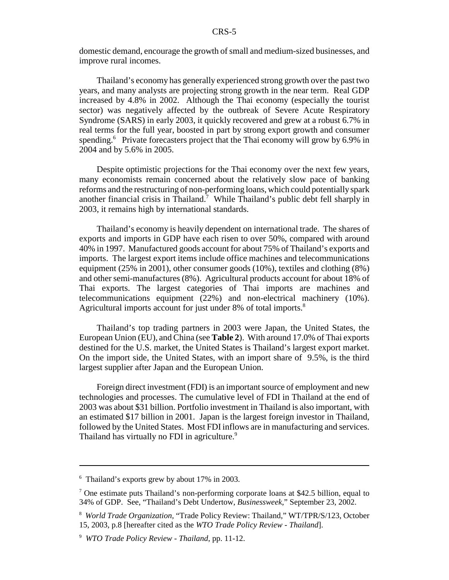domestic demand, encourage the growth of small and medium-sized businesses, and improve rural incomes.

Thailand's economy has generally experienced strong growth over the past two years, and many analysts are projecting strong growth in the near term. Real GDP increased by 4.8% in 2002. Although the Thai economy (especially the tourist sector) was negatively affected by the outbreak of Severe Acute Respiratory Syndrome (SARS) in early 2003, it quickly recovered and grew at a robust 6.7% in real terms for the full year, boosted in part by strong export growth and consumer spending.<sup>6</sup> Private forecasters project that the Thai economy will grow by 6.9% in 2004 and by 5.6% in 2005.

Despite optimistic projections for the Thai economy over the next few years, many economists remain concerned about the relatively slow pace of banking reforms and the restructuring of non-performing loans, which could potentially spark another financial crisis in Thailand.<sup>7</sup> While Thailand's public debt fell sharply in 2003, it remains high by international standards.

Thailand's economy is heavily dependent on international trade. The shares of exports and imports in GDP have each risen to over 50%, compared with around 40% in 1997. Manufactured goods account for about 75% of Thailand's exports and imports. The largest export items include office machines and telecommunications equipment (25% in 2001), other consumer goods (10%), textiles and clothing (8%) and other semi-manufactures (8%). Agricultural products account for about 18% of Thai exports. The largest categories of Thai imports are machines and telecommunications equipment (22%) and non-electrical machinery (10%). Agricultural imports account for just under 8% of total imports.<sup>8</sup>

Thailand's top trading partners in 2003 were Japan, the United States, the European Union (EU), and China (see **Table 2**). With around 17.0% of Thai exports destined for the U.S. market, the United States is Thailand's largest export market. On the import side, the United States, with an import share of 9.5%, is the third largest supplier after Japan and the European Union.

Foreign direct investment (FDI) is an important source of employment and new technologies and processes. The cumulative level of FDI in Thailand at the end of 2003 was about \$31 billion. Portfolio investment in Thailand is also important, with an estimated \$17 billion in 2001. Japan is the largest foreign investor in Thailand, followed by the United States. Most FDI inflows are in manufacturing and services. Thailand has virtually no FDI in agriculture.<sup>9</sup>

<sup>6</sup> Thailand's exports grew by about 17% in 2003.

<sup>&</sup>lt;sup>7</sup> One estimate puts Thailand's non-performing corporate loans at \$42.5 billion, equal to 34% of GDP. See, "Thailand's Debt Undertow, *Businessweek*," September 23, 2002.

<sup>8</sup> *World Trade Organization,* "Trade Policy Review: Thailand," WT/TPR/S/123, October 15, 2003, p.8 [hereafter cited as the *WTO Trade Policy Review - Thailand*].

<sup>9</sup> *WTO Trade Policy Review - Thailand*, pp. 11-12.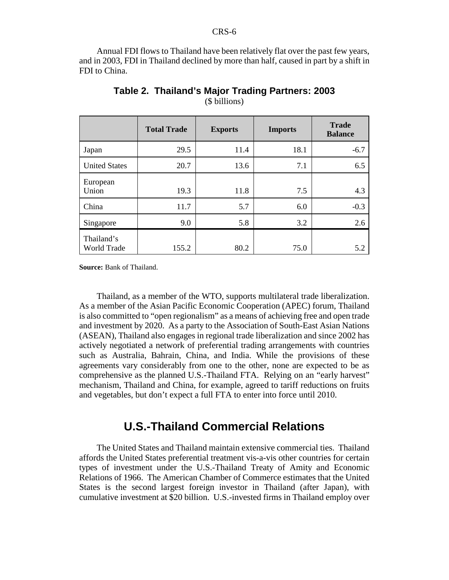Annual FDI flows to Thailand have been relatively flat over the past few years, and in 2003, FDI in Thailand declined by more than half, caused in part by a shift in FDI to China.

|                           | <b>Total Trade</b> | <b>Exports</b> | <b>Imports</b> | <b>Trade</b><br><b>Balance</b> |
|---------------------------|--------------------|----------------|----------------|--------------------------------|
| Japan                     | 29.5               | 11.4           | 18.1           | $-6.7$                         |
| <b>United States</b>      | 20.7               | 13.6           | 7.1            | 6.5                            |
| European<br>Union         | 19.3               | 11.8           | 7.5            | 4.3                            |
| China                     | 11.7               | 5.7            | 6.0            | $-0.3$                         |
| Singapore                 | 9.0                | 5.8            | 3.2            | 2.6                            |
| Thailand's<br>World Trade | 155.2              | 80.2           | 75.0           | 5.2                            |

| Table 2. Thailand's Major Trading Partners: 2003 |
|--------------------------------------------------|
| (\$ billions)                                    |

**Source:** Bank of Thailand.

Thailand, as a member of the WTO, supports multilateral trade liberalization. As a member of the Asian Pacific Economic Cooperation (APEC) forum, Thailand is also committed to "open regionalism" as a means of achieving free and open trade and investment by 2020. As a party to the Association of South-East Asian Nations (ASEAN), Thailand also engages in regional trade liberalization and since 2002 has actively negotiated a network of preferential trading arrangements with countries such as Australia, Bahrain, China, and India. While the provisions of these agreements vary considerably from one to the other, none are expected to be as comprehensive as the planned U.S.-Thailand FTA. Relying on an "early harvest" mechanism, Thailand and China, for example, agreed to tariff reductions on fruits and vegetables, but don't expect a full FTA to enter into force until 2010.

## **U.S.-Thailand Commercial Relations**

The United States and Thailand maintain extensive commercial ties. Thailand affords the United States preferential treatment vis-a-vis other countries for certain types of investment under the U.S.-Thailand Treaty of Amity and Economic Relations of 1966. The American Chamber of Commerce estimates that the United States is the second largest foreign investor in Thailand (after Japan), with cumulative investment at \$20 billion. U.S.-invested firms in Thailand employ over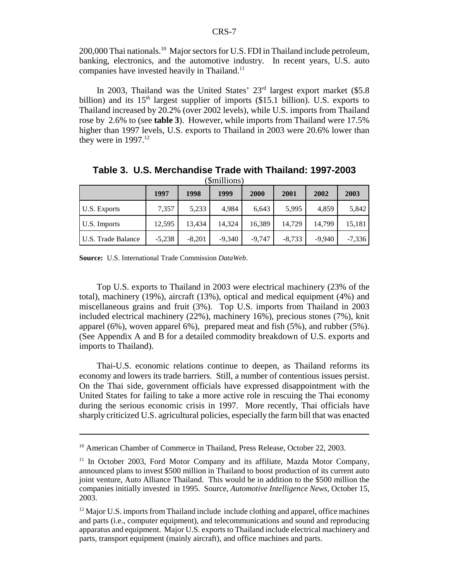200,000 Thai nationals.<sup>10</sup> Major sectors for U.S. FDI in Thailand include petroleum, banking, electronics, and the automotive industry. In recent years, U.S. auto companies have invested heavily in Thailand.<sup>11</sup>

In 2003, Thailand was the United States'  $23<sup>rd</sup>$  largest export market (\$5.8) billion) and its  $15<sup>th</sup>$  largest supplier of imports (\$15.1 billion). U.S. exports to Thailand increased by 20.2% (over 2002 levels), while U.S. imports from Thailand rose by 2.6% to (see **table 3**). However, while imports from Thailand were 17.5% higher than 1997 levels, U.S. exports to Thailand in 2003 were 20.6% lower than they were in  $1997<sup>12</sup>$ 

|                    | 1997     | 1998     | 1999     | 2000     | 2001     | 2002     | 2003     |
|--------------------|----------|----------|----------|----------|----------|----------|----------|
| U.S. Exports       | 7,357    | 5,233    | 4.984    | 6,643    | 5,995    | 4,859    | 5,842    |
| U.S. Imports       | 12,595   | 13,434   | 14,324   | 16,389   | 14,729   | 14,799   | 15,181   |
| U.S. Trade Balance | $-5,238$ | $-8,201$ | $-9.340$ | $-9.747$ | $-8,733$ | $-9.940$ | $-7,336$ |

**Table 3. U.S. Merchandise Trade with Thailand: 1997-2003** (\$millions)

**Source:** U.S. International Trade Commission *DataWeb*.

Top U.S. exports to Thailand in 2003 were electrical machinery (23% of the total), machinery (19%), aircraft (13%), optical and medical equipment (4%) and miscellaneous grains and fruit (3%). Top U.S. imports from Thailand in 2003 included electrical machinery (22%), machinery 16%), precious stones (7%), knit apparel (6%), woven apparel 6%), prepared meat and fish (5%), and rubber (5%). (See Appendix A and B for a detailed commodity breakdown of U.S. exports and imports to Thailand).

Thai-U.S. economic relations continue to deepen, as Thailand reforms its economy and lowers its trade barriers. Still, a number of contentious issues persist. On the Thai side, government officials have expressed disappointment with the United States for failing to take a more active role in rescuing the Thai economy during the serious economic crisis in 1997. More recently, Thai officials have sharply criticized U.S. agricultural policies, especially the farm bill that was enacted

<sup>&</sup>lt;sup>10</sup> American Chamber of Commerce in Thailand, Press Release, October 22, 2003.

<sup>&</sup>lt;sup>11</sup> In October 2003, Ford Motor Company and its affiliate, Mazda Motor Company, announced plans to invest \$500 million in Thailand to boost production of its current auto joint venture, Auto Alliance Thailand. This would be in addition to the \$500 million the companies initially invested in 1995. Source, *Automotive Intelligence News*, October 15, 2003.

 $12$  Major U.S. imports from Thailand include include clothing and apparel, office machines and parts (i.e., computer equipment), and telecommunications and sound and reproducing apparatus and equipment. Major U.S. exports to Thailand include electrical machinery and parts, transport equipment (mainly aircraft), and office machines and parts.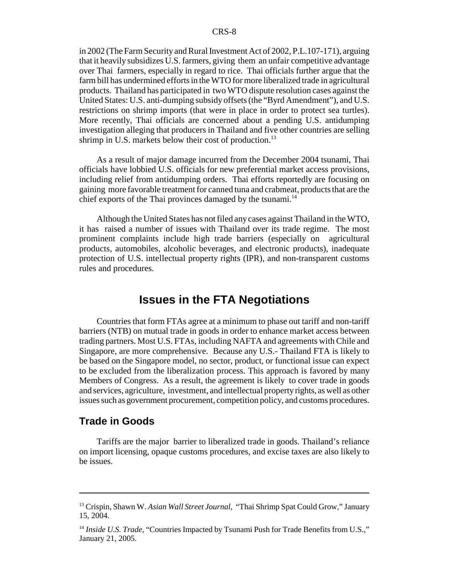in 2002 (The Farm Security and Rural Investment Act of 2002, P.L.107-171), arguing that it heavily subsidizes U.S. farmers, giving them an unfair competitive advantage over Thai farmers, especially in regard to rice. Thai officials further argue that the farm bill has undermined efforts in the WTO for more liberalized trade in agricultural products. Thailand has participated in two WTO dispute resolution cases against the United States: U.S. anti-dumping subsidy offsets (the "Byrd Amendment"), and U.S. restrictions on shrimp imports (that were in place in order to protect sea turtles). More recently, Thai officials are concerned about a pending U.S. antidumping investigation alleging that producers in Thailand and five other countries are selling shrimp in U.S. markets below their cost of production. $^{13}$ 

As a result of major damage incurred from the December 2004 tsunami, Thai officials have lobbied U.S. officials for new preferential market access provisions, including relief from antidumping orders. Thai efforts reportedly are focusing on gaining more favorable treatment for canned tuna and crabmeat, products that are the chief exports of the Thai provinces damaged by the tsunami.<sup>14</sup>

Although the United States has not filed any cases against Thailand in the WTO, it has raised a number of issues with Thailand over its trade regime. The most prominent complaints include high trade barriers (especially on agricultural products, automobiles, alcoholic beverages, and electronic products), inadequate protection of U.S. intellectual property rights (IPR), and non-transparent customs rules and procedures.

## **Issues in the FTA Negotiations**

Countries that form FTAs agree at a minimum to phase out tariff and non-tariff barriers (NTB) on mutual trade in goods in order to enhance market access between trading partners. Most U.S. FTAs, including NAFTA and agreements with Chile and Singapore, are more comprehensive. Because any U.S.- Thailand FTA is likely to be based on the Singapore model, no sector, product, or functional issue can expect to be excluded from the liberalization process. This approach is favored by many Members of Congress. As a result, the agreement is likely to cover trade in goods and services, agriculture, investment, and intellectual property rights, as well as other issues such as government procurement, competition policy, and customs procedures.

#### **Trade in Goods**

Tariffs are the major barrier to liberalized trade in goods. Thailand's reliance on import licensing, opaque customs procedures, and excise taxes are also likely to be issues.

<sup>&</sup>lt;sup>13</sup> Crispin, Shawn W. Asian Wall Street Journal, "Thai Shrimp Spat Could Grow," January 15, 2004.

<sup>&</sup>lt;sup>14</sup> Inside U.S. Trade, "Countries Impacted by Tsunami Push for Trade Benefits from U.S.," January 21, 2005.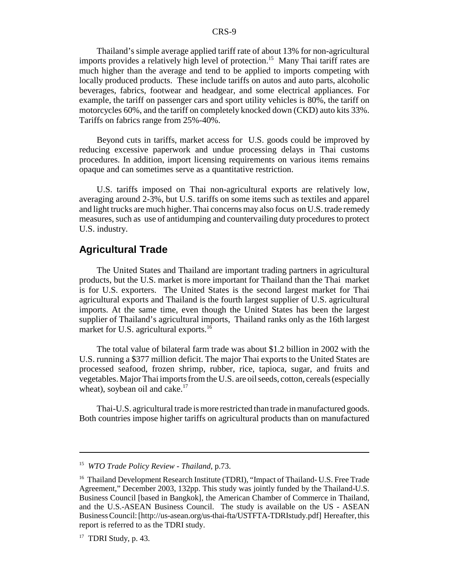Thailand's simple average applied tariff rate of about 13% for non-agricultural imports provides a relatively high level of protection.<sup>15</sup> Many Thai tariff rates are much higher than the average and tend to be applied to imports competing with locally produced products. These include tariffs on autos and auto parts, alcoholic beverages, fabrics, footwear and headgear, and some electrical appliances. For example, the tariff on passenger cars and sport utility vehicles is 80%, the tariff on motorcycles 60%, and the tariff on completely knocked down (CKD) auto kits 33%. Tariffs on fabrics range from 25%-40%.

Beyond cuts in tariffs, market access for U.S. goods could be improved by reducing excessive paperwork and undue processing delays in Thai customs procedures. In addition, import licensing requirements on various items remains opaque and can sometimes serve as a quantitative restriction.

U.S. tariffs imposed on Thai non-agricultural exports are relatively low, averaging around 2-3%, but U.S. tariffs on some items such as textiles and apparel and light trucks are much higher. Thai concerns may also focus on U.S. trade remedy measures, such as use of antidumping and countervailing duty procedures to protect U.S. industry.

#### **Agricultural Trade**

The United States and Thailand are important trading partners in agricultural products, but the U.S. market is more important for Thailand than the Thai market is for U.S. exporters. The United States is the second largest market for Thai agricultural exports and Thailand is the fourth largest supplier of U.S. agricultural imports. At the same time, even though the United States has been the largest supplier of Thailand's agricultural imports, Thailand ranks only as the 16th largest market for U.S. agricultural exports.<sup>16</sup>

The total value of bilateral farm trade was about \$1.2 billion in 2002 with the U.S. running a \$377 million deficit. The major Thai exports to the United States are processed seafood, frozen shrimp, rubber, rice, tapioca, sugar, and fruits and vegetables. Major Thai imports from the U.S. are oil seeds, cotton, cereals (especially wheat), soybean oil and cake. $17$ 

Thai-U.S. agricultural trade is more restricted than trade in manufactured goods. Both countries impose higher tariffs on agricultural products than on manufactured

<sup>15</sup> *WTO Trade Policy Review - Thailand*, p.73.

<sup>&</sup>lt;sup>16</sup> Thailand Development Research Institute (TDRI), "Impact of Thailand- U.S. Free Trade Agreement," December 2003, 132pp. This study was jointly funded by the Thailand-U.S. Business Council [based in Bangkok], the American Chamber of Commerce in Thailand, and the U.S.-ASEAN Business Council. The study is available on the US - ASEAN Business Council: [http://us-asean.org/us-thai-fta/USTFTA-TDRIstudy.pdf] Hereafter, this report is referred to as the TDRI study.

<sup>&</sup>lt;sup>17</sup> TDRI Study, p. 43.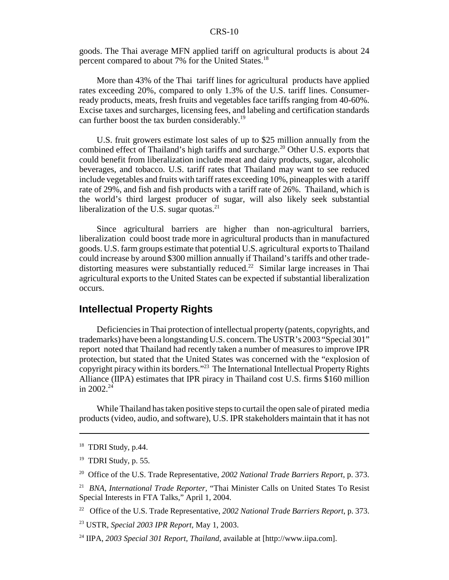goods. The Thai average MFN applied tariff on agricultural products is about 24 percent compared to about 7% for the United States.<sup>18</sup>

More than 43% of the Thai tariff lines for agricultural products have applied rates exceeding 20%, compared to only 1.3% of the U.S. tariff lines. Consumerready products, meats, fresh fruits and vegetables face tariffs ranging from 40-60%. Excise taxes and surcharges, licensing fees, and labeling and certification standards can further boost the tax burden considerably.<sup>19</sup>

U.S. fruit growers estimate lost sales of up to \$25 million annually from the combined effect of Thailand's high tariffs and surcharge.<sup>20</sup> Other U.S. exports that could benefit from liberalization include meat and dairy products, sugar, alcoholic beverages, and tobacco. U.S. tariff rates that Thailand may want to see reduced include vegetables and fruits with tariff rates exceeding 10%, pineapples with a tariff rate of 29%, and fish and fish products with a tariff rate of 26%. Thailand, which is the world's third largest producer of sugar, will also likely seek substantial liberalization of the U.S. sugar quotas. $^{21}$ 

Since agricultural barriers are higher than non-agricultural barriers, liberalization could boost trade more in agricultural products than in manufactured goods. U.S. farm groups estimate that potential U.S. agricultural exports to Thailand could increase by around \$300 million annually if Thailand's tariffs and other tradedistorting measures were substantially reduced.<sup>22</sup> Similar large increases in Thai agricultural exports to the United States can be expected if substantial liberalization occurs.

### **Intellectual Property Rights**

Deficiencies in Thai protection of intellectual property (patents, copyrights, and trademarks) have been a longstanding U.S. concern. The USTR's 2003 "Special 301" report noted that Thailand had recently taken a number of measures to improve IPR protection, but stated that the United States was concerned with the "explosion of copyright piracy within its borders."23 The International Intellectual Property Rights Alliance (IIPA) estimates that IPR piracy in Thailand cost U.S. firms \$160 million in  $2002^{24}$ 

While Thailand has taken positive steps to curtail the open sale of pirated media products (video, audio, and software), U.S. IPR stakeholders maintain that it has not

<sup>&</sup>lt;sup>18</sup> TDRI Study, p.44.

<sup>&</sup>lt;sup>19</sup> TDRI Study, p. 55.

<sup>20</sup> Office of the U.S. Trade Representative, *2002 National Trade Barriers Report*, p. 373.

<sup>21</sup> *BNA, International Trade Reporter,* "Thai Minister Calls on United States To Resist Special Interests in FTA Talks," April 1, 2004.

<sup>22</sup> Office of the U.S. Trade Representative, *2002 National Trade Barriers Report*, p. 373.

<sup>23</sup> USTR, *Special 2003 IPR Report,* May 1, 2003.

<sup>24</sup> IIPA, *2003 Special 301 Report, Thailand,* available at [http://www.iipa.com].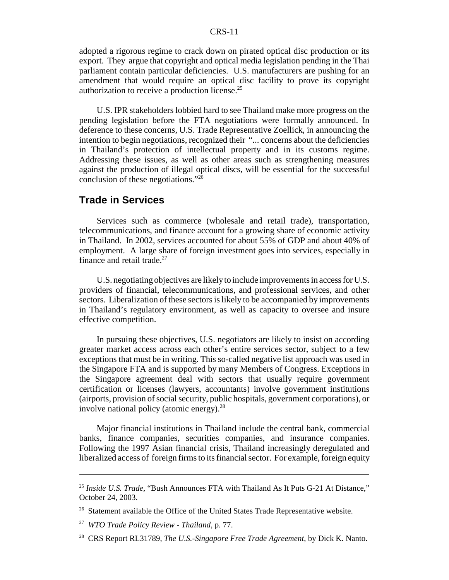adopted a rigorous regime to crack down on pirated optical disc production or its export. They argue that copyright and optical media legislation pending in the Thai parliament contain particular deficiencies. U.S. manufacturers are pushing for an amendment that would require an optical disc facility to prove its copyright authorization to receive a production license. $^{25}$ 

U.S. IPR stakeholders lobbied hard to see Thailand make more progress on the pending legislation before the FTA negotiations were formally announced. In deference to these concerns, U.S. Trade Representative Zoellick, in announcing the intention to begin negotiations, recognized their "... concerns about the deficiencies in Thailand's protection of intellectual property and in its customs regime. Addressing these issues, as well as other areas such as strengthening measures against the production of illegal optical discs, will be essential for the successful conclusion of these negotiations."26

#### **Trade in Services**

Services such as commerce (wholesale and retail trade), transportation, telecommunications, and finance account for a growing share of economic activity in Thailand. In 2002, services accounted for about 55% of GDP and about 40% of employment. A large share of foreign investment goes into services, especially in finance and retail trade. $27$ 

U.S. negotiating objectives are likely to include improvements in access for U.S. providers of financial, telecommunications, and professional services, and other sectors. Liberalization of these sectors is likely to be accompanied by improvements in Thailand's regulatory environment, as well as capacity to oversee and insure effective competition.

In pursuing these objectives, U.S. negotiators are likely to insist on according greater market access across each other's entire services sector, subject to a few exceptions that must be in writing. This so-called negative list approach was used in the Singapore FTA and is supported by many Members of Congress. Exceptions in the Singapore agreement deal with sectors that usually require government certification or licenses (lawyers, accountants) involve government institutions (airports, provision of social security, public hospitals, government corporations), or involve national policy (atomic energy). $^{28}$ 

Major financial institutions in Thailand include the central bank, commercial banks, finance companies, securities companies, and insurance companies. Following the 1997 Asian financial crisis, Thailand increasingly deregulated and liberalized access of foreign firms to its financial sector. For example, foreign equity

<sup>25</sup> *Inside U.S. Trade,* "Bush Announces FTA with Thailand As It Puts G-21 At Distance," October 24, 2003.

<sup>&</sup>lt;sup>26</sup> Statement available the Office of the United States Trade Representative website.

<sup>27</sup> *WTO Trade Policy Review - Thailand*, p. 77.

<sup>28</sup> CRS Report RL31789, *The U.S.-Singapore Free Trade Agreement*, by Dick K. Nanto.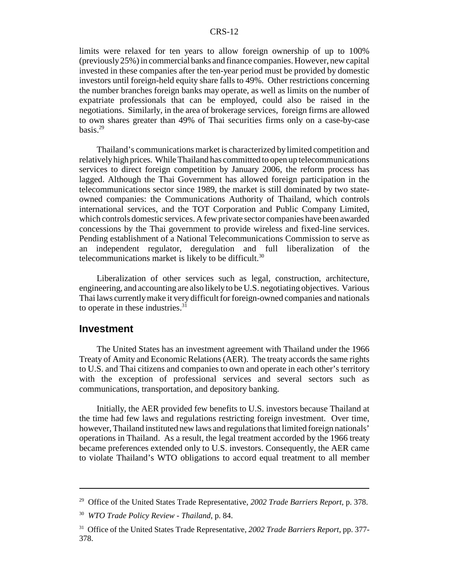limits were relaxed for ten years to allow foreign ownership of up to 100% (previously 25%) in commercial banks and finance companies. However, new capital invested in these companies after the ten-year period must be provided by domestic investors until foreign-held equity share falls to 49%. Other restrictions concerning the number branches foreign banks may operate, as well as limits on the number of expatriate professionals that can be employed, could also be raised in the negotiations. Similarly, in the area of brokerage services, foreign firms are allowed to own shares greater than 49% of Thai securities firms only on a case-by-case basis.29

Thailand's communications market is characterized by limited competition and relatively high prices. While Thailand has committed to open up telecommunications services to direct foreign competition by January 2006, the reform process has lagged. Although the Thai Government has allowed foreign participation in the telecommunications sector since 1989, the market is still dominated by two stateowned companies: the Communications Authority of Thailand, which controls international services, and the TOT Corporation and Public Company Limited, which controls domestic services. A few private sector companies have been awarded concessions by the Thai government to provide wireless and fixed-line services. Pending establishment of a National Telecommunications Commission to serve as an independent regulator, deregulation and full liberalization of the telecommunications market is likely to be difficult.<sup>30</sup>

Liberalization of other services such as legal, construction, architecture, engineering, and accounting are also likely to be U.S. negotiating objectives. Various Thai laws currently make it very difficult for foreign-owned companies and nationals to operate in these industries.<sup>31</sup>

#### **Investment**

The United States has an investment agreement with Thailand under the 1966 Treaty of Amity and Economic Relations (AER). The treaty accords the same rights to U.S. and Thai citizens and companies to own and operate in each other's territory with the exception of professional services and several sectors such as communications, transportation, and depository banking.

Initially, the AER provided few benefits to U.S. investors because Thailand at the time had few laws and regulations restricting foreign investment. Over time, however, Thailand instituted new laws and regulations that limited foreign nationals' operations in Thailand. As a result, the legal treatment accorded by the 1966 treaty became preferences extended only to U.S. investors. Consequently, the AER came to violate Thailand's WTO obligations to accord equal treatment to all member

<sup>29</sup> Office of the United States Trade Representative, *2002 Trade Barriers Report*, p. 378.

<sup>30</sup> *WTO Trade Policy Review - Thailand*, p. 84.

<sup>31</sup> Office of the United States Trade Representative, *2002 Trade Barriers Report*, pp. 377- 378.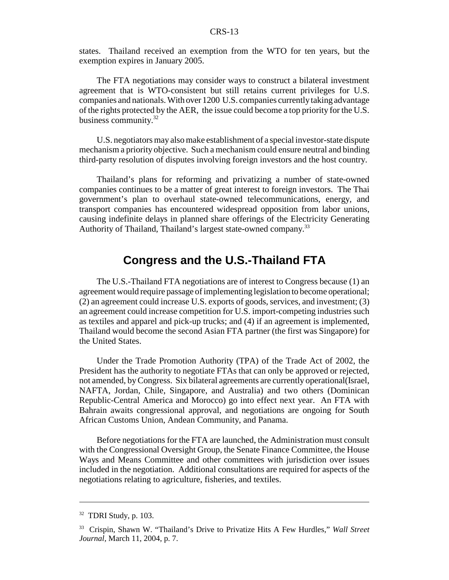states. Thailand received an exemption from the WTO for ten years, but the exemption expires in January 2005.

The FTA negotiations may consider ways to construct a bilateral investment agreement that is WTO-consistent but still retains current privileges for U.S. companies and nationals. With over 1200 U.S. companies currently taking advantage of the rights protected by the AER, the issue could become a top priority for the U.S. business community.32

U.S. negotiators may also make establishment of a special investor-state dispute mechanism a priority objective. Such a mechanism could ensure neutral and binding third-party resolution of disputes involving foreign investors and the host country.

Thailand's plans for reforming and privatizing a number of state-owned companies continues to be a matter of great interest to foreign investors. The Thai government's plan to overhaul state-owned telecommunications, energy, and transport companies has encountered widespread opposition from labor unions, causing indefinite delays in planned share offerings of the Electricity Generating Authority of Thailand, Thailand's largest state-owned company.<sup>33</sup>

## **Congress and the U.S.-Thailand FTA**

The U.S.-Thailand FTA negotiations are of interest to Congress because (1) an agreement would require passage of implementing legislation to become operational; (2) an agreement could increase U.S. exports of goods, services, and investment; (3) an agreement could increase competition for U.S. import-competing industries such as textiles and apparel and pick-up trucks; and (4) if an agreement is implemented, Thailand would become the second Asian FTA partner (the first was Singapore) for the United States.

Under the Trade Promotion Authority (TPA) of the Trade Act of 2002, the President has the authority to negotiate FTAs that can only be approved or rejected, not amended, by Congress. Six bilateral agreements are currently operational(Israel, NAFTA, Jordan, Chile, Singapore, and Australia) and two others (Dominican Republic-Central America and Morocco) go into effect next year. An FTA with Bahrain awaits congressional approval, and negotiations are ongoing for South African Customs Union, Andean Community, and Panama.

Before negotiations for the FTA are launched, the Administration must consult with the Congressional Oversight Group, the Senate Finance Committee, the House Ways and Means Committee and other committees with jurisdiction over issues included in the negotiation. Additional consultations are required for aspects of the negotiations relating to agriculture, fisheries, and textiles.

 $32$  TDRI Study, p. 103.

<sup>33</sup> Crispin, Shawn W. "Thailand's Drive to Privatize Hits A Few Hurdles," *Wall Street Journal,* March 11, 2004, p. 7.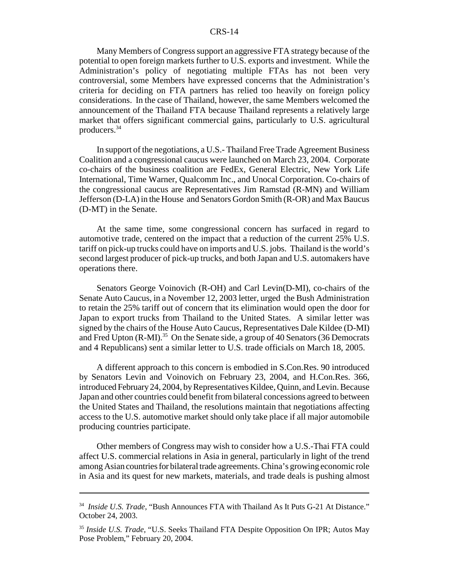Many Members of Congress support an aggressive FTA strategy because of the potential to open foreign markets further to U.S. exports and investment. While the Administration's policy of negotiating multiple FTAs has not been very controversial, some Members have expressed concerns that the Administration's criteria for deciding on FTA partners has relied too heavily on foreign policy considerations. In the case of Thailand, however, the same Members welcomed the announcement of the Thailand FTA because Thailand represents a relatively large market that offers significant commercial gains, particularly to U.S. agricultural producers.34

In support of the negotiations, a U.S.- Thailand Free Trade Agreement Business Coalition and a congressional caucus were launched on March 23, 2004. Corporate co-chairs of the business coalition are FedEx, General Electric, New York Life International, Time Warner, Qualcomm Inc., and Unocal Corporation. Co-chairs of the congressional caucus are Representatives Jim Ramstad (R-MN) and William Jefferson (D-LA) in the House and Senators Gordon Smith (R-OR) and Max Baucus (D-MT) in the Senate.

At the same time, some congressional concern has surfaced in regard to automotive trade, centered on the impact that a reduction of the current 25% U.S. tariff on pick-up trucks could have on imports and U.S. jobs. Thailand is the world's second largest producer of pick-up trucks, and both Japan and U.S. automakers have operations there.

Senators George Voinovich (R-OH) and Carl Levin(D-MI), co-chairs of the Senate Auto Caucus, in a November 12, 2003 letter, urged the Bush Administration to retain the 25% tariff out of concern that its elimination would open the door for Japan to export trucks from Thailand to the United States. A similar letter was signed by the chairs of the House Auto Caucus, Representatives Dale Kildee (D-MI) and Fred Upton  $(R-MI)$ <sup>35</sup> On the Senate side, a group of 40 Senators (36 Democrats and 4 Republicans) sent a similar letter to U.S. trade officials on March 18, 2005.

A different approach to this concern is embodied in S.Con.Res. 90 introduced by Senators Levin and Voinovich on February 23, 2004, and H.Con.Res. 366, introduced February 24, 2004, by Representatives Kildee, Quinn, and Levin. Because Japan and other countries could benefit from bilateral concessions agreed to between the United States and Thailand, the resolutions maintain that negotiations affecting access to the U.S. automotive market should only take place if all major automobile producing countries participate.

Other members of Congress may wish to consider how a U.S.-Thai FTA could affect U.S. commercial relations in Asia in general, particularly in light of the trend among Asian countries for bilateral trade agreements. China's growing economic role in Asia and its quest for new markets, materials, and trade deals is pushing almost

<sup>34</sup> *Inside U.S. Trade,* "Bush Announces FTA with Thailand As It Puts G-21 At Distance." October 24, 2003.

<sup>35</sup> *Inside U.S. Trade,* "U.S. Seeks Thailand FTA Despite Opposition On IPR; Autos May Pose Problem," February 20, 2004.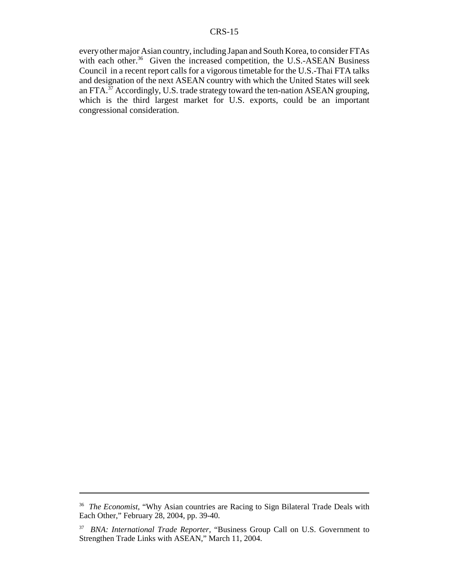every other major Asian country, including Japan and South Korea, to consider FTAs with each other. $36$  Given the increased competition, the U.S.-ASEAN Business Council in a recent report calls for a vigorous timetable for the U.S.-Thai FTA talks and designation of the next ASEAN country with which the United States will seek an FTA. $37$  Accordingly, U.S. trade strategy toward the ten-nation ASEAN grouping, which is the third largest market for U.S. exports, could be an important congressional consideration.

<sup>&</sup>lt;sup>36</sup> *The Economist*, "Why Asian countries are Racing to Sign Bilateral Trade Deals with Each Other," February 28, 2004, pp. 39-40.

<sup>37</sup> *BNA: International Trade Reporter,* "Business Group Call on U.S. Government to Strengthen Trade Links with ASEAN," March 11, 2004.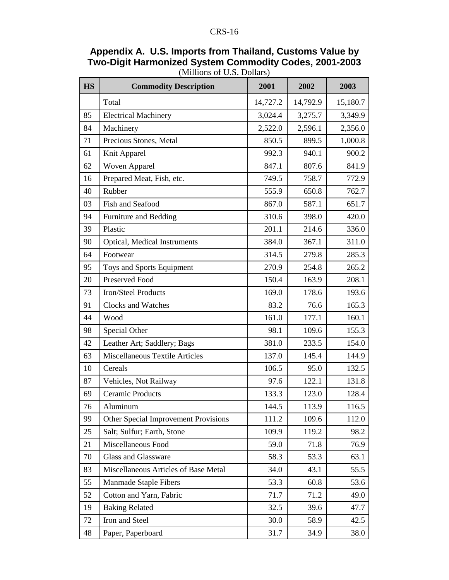| <b>HS</b> | <b>Commodity Description</b>         | 2001     | 2002     | 2003     |
|-----------|--------------------------------------|----------|----------|----------|
|           | Total                                | 14,727.2 | 14,792.9 | 15,180.7 |
| 85        | <b>Electrical Machinery</b>          | 3,024.4  | 3,275.7  | 3,349.9  |
| 84        | Machinery                            | 2,522.0  | 2,596.1  | 2,356.0  |
| 71        | Precious Stones, Metal               | 850.5    | 899.5    | 1,000.8  |
| 61        | Knit Apparel                         | 992.3    | 940.1    | 900.2    |
| 62        | <b>Woven Apparel</b>                 | 847.1    | 807.6    | 841.9    |
| 16        | Prepared Meat, Fish, etc.            | 749.5    | 758.7    | 772.9    |
| 40        | Rubber                               | 555.9    | 650.8    | 762.7    |
| 03        | Fish and Seafood                     | 867.0    | 587.1    | 651.7    |
| 94        | Furniture and Bedding                | 310.6    | 398.0    | 420.0    |
| 39        | Plastic                              | 201.1    | 214.6    | 336.0    |
| 90        | Optical, Medical Instruments         | 384.0    | 367.1    | 311.0    |
| 64        | Footwear                             | 314.5    | 279.8    | 285.3    |
| 95        | Toys and Sports Equipment            | 270.9    | 254.8    | 265.2    |
| 20        | Preserved Food                       | 150.4    | 163.9    | 208.1    |
| 73        | Iron/Steel Products                  | 169.0    | 178.6    | 193.6    |
| 91        | Clocks and Watches                   | 83.2     | 76.6     | 165.3    |
| 44        | Wood                                 | 161.0    | 177.1    | 160.1    |
| 98        | Special Other                        | 98.1     | 109.6    | 155.3    |
| 42        | Leather Art; Saddlery; Bags          | 381.0    | 233.5    | 154.0    |
| 63        | Miscellaneous Textile Articles       | 137.0    | 145.4    | 144.9    |
| 10        | Cereals                              | 106.5    | 95.0     | 132.5    |
| 87        | Vehicles, Not Railway                | 97.6     | 122.1    | 131.8    |
| 69        | <b>Ceramic Products</b>              | 133.3    | 123.0    | 128.4    |
| 76        | Aluminum                             | 144.5    | 113.9    | 116.5    |
| 99        | Other Special Improvement Provisions | 111.2    | 109.6    | 112.0    |
| 25        | Salt; Sulfur; Earth, Stone           | 109.9    | 119.2    | 98.2     |
| 21        | Miscellaneous Food                   | 59.0     | 71.8     | 76.9     |
| 70        | <b>Glass and Glassware</b>           | 58.3     | 53.3     | 63.1     |
| 83        | Miscellaneous Articles of Base Metal | 34.0     | 43.1     | 55.5     |
| 55        | <b>Manmade Staple Fibers</b>         | 53.3     | 60.8     | 53.6     |
| 52        | Cotton and Yarn, Fabric              | 71.7     | 71.2     | 49.0     |
| 19        | <b>Baking Related</b>                | 32.5     | 39.6     | 47.7     |
| 72        | Iron and Steel                       | 30.0     | 58.9     | 42.5     |
| 48        | Paper, Paperboard                    | 31.7     | 34.9     | 38.0     |

#### **Appendix A. U.S. Imports from Thailand, Customs Value by Two-Digit Harmonized System Commodity Codes, 2001-2003** (Millions of U.S. Dollars)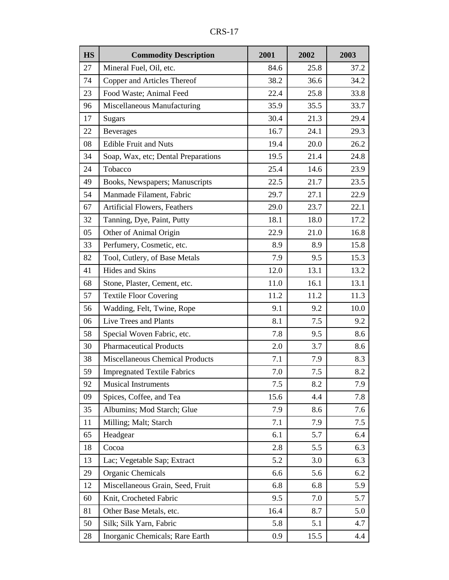| n |  |  |
|---|--|--|
|---|--|--|

| <b>HS</b> | <b>Commodity Description</b>           | 2001 | 2002 | 2003 |
|-----------|----------------------------------------|------|------|------|
| 27        | Mineral Fuel, Oil, etc.                | 84.6 | 25.8 | 37.2 |
| 74        | Copper and Articles Thereof            | 38.2 | 36.6 | 34.2 |
| 23        | Food Waste; Animal Feed                | 22.4 | 25.8 | 33.8 |
| 96        | Miscellaneous Manufacturing            | 35.9 | 35.5 | 33.7 |
| 17        | <b>Sugars</b>                          | 30.4 | 21.3 | 29.4 |
| 22        | <b>Beverages</b>                       | 16.7 | 24.1 | 29.3 |
| 08        | <b>Edible Fruit and Nuts</b>           | 19.4 | 20.0 | 26.2 |
| 34        | Soap, Wax, etc; Dental Preparations    | 19.5 | 21.4 | 24.8 |
| 24        | Tobacco                                | 25.4 | 14.6 | 23.9 |
| 49        | Books, Newspapers; Manuscripts         | 22.5 | 21.7 | 23.5 |
| 54        | Manmade Filament, Fabric               | 29.7 | 27.1 | 22.9 |
| 67        | <b>Artificial Flowers, Feathers</b>    | 29.0 | 23.7 | 22.1 |
| 32        | Tanning, Dye, Paint, Putty             | 18.1 | 18.0 | 17.2 |
| 05        | Other of Animal Origin                 | 22.9 | 21.0 | 16.8 |
| 33        | Perfumery, Cosmetic, etc.              | 8.9  | 8.9  | 15.8 |
| 82        | Tool, Cutlery, of Base Metals          | 7.9  | 9.5  | 15.3 |
| 41        | <b>Hides and Skins</b>                 | 12.0 | 13.1 | 13.2 |
| 68        | Stone, Plaster, Cement, etc.           | 11.0 | 16.1 | 13.1 |
| 57        | <b>Textile Floor Covering</b>          | 11.2 | 11.2 | 11.3 |
| 56        | Wadding, Felt, Twine, Rope             | 9.1  | 9.2  | 10.0 |
| 06        | Live Trees and Plants                  | 8.1  | 7.5  | 9.2  |
| 58        | Special Woven Fabric, etc.             | 7.8  | 9.5  | 8.6  |
| 30        | <b>Pharmaceutical Products</b>         | 2.0  | 3.7  | 8.6  |
| 38        | <b>Miscellaneous Chemical Products</b> | 7.1  | 7.9  | 8.3  |
| 59        | <b>Impregnated Textile Fabrics</b>     | 7.0  | 7.5  | 8.2  |
| 92        | <b>Musical Instruments</b>             | 7.5  | 8.2  | 7.9  |
| 09        | Spices, Coffee, and Tea                | 15.6 | 4.4  | 7.8  |
| 35        | Albumins; Mod Starch; Glue             | 7.9  | 8.6  | 7.6  |
| 11        | Milling; Malt; Starch                  | 7.1  | 7.9  | 7.5  |
| 65        | Headgear                               | 6.1  | 5.7  | 6.4  |
| 18        | Cocoa                                  | 2.8  | 5.5  | 6.3  |
| 13        | Lac; Vegetable Sap; Extract            | 5.2  | 3.0  | 6.3  |
| 29        | <b>Organic Chemicals</b>               | 6.6  | 5.6  | 6.2  |
| 12        | Miscellaneous Grain, Seed, Fruit       | 6.8  | 6.8  | 5.9  |
| 60        | Knit, Crocheted Fabric                 | 9.5  | 7.0  | 5.7  |
| 81        | Other Base Metals, etc.                | 16.4 | 8.7  | 5.0  |
| 50        | Silk; Silk Yarn, Fabric                | 5.8  | 5.1  | 4.7  |
| 28        | Inorganic Chemicals; Rare Earth        | 0.9  | 15.5 | 4.4  |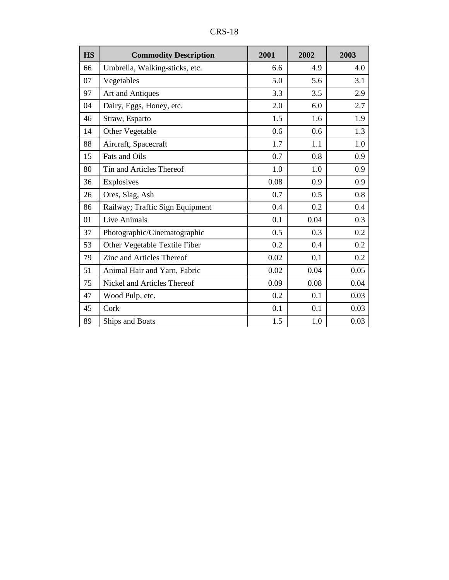| <b>HS</b> | <b>Commodity Description</b>    | 2001 | 2002 | 2003 |
|-----------|---------------------------------|------|------|------|
| 66        | Umbrella, Walking-sticks, etc.  | 6.6  | 4.9  | 4.0  |
| 07        | Vegetables                      | 5.0  | 5.6  | 3.1  |
| 97        | Art and Antiques                | 3.3  | 3.5  | 2.9  |
| 04        | Dairy, Eggs, Honey, etc.        | 2.0  | 6.0  | 2.7  |
| 46        | Straw, Esparto                  | 1.5  | 1.6  | 1.9  |
| 14        | Other Vegetable                 | 0.6  | 0.6  | 1.3  |
| 88        | Aircraft, Spacecraft            | 1.7  | 1.1  | 1.0  |
| 15        | Fats and Oils                   | 0.7  | 0.8  | 0.9  |
| 80        | Tin and Articles Thereof        | 1.0  | 1.0  | 0.9  |
| 36        | Explosives                      | 0.08 | 0.9  | 0.9  |
| 26        | Ores, Slag, Ash                 | 0.7  | 0.5  | 0.8  |
| 86        | Railway; Traffic Sign Equipment | 0.4  | 0.2  | 0.4  |
| 01        | Live Animals                    | 0.1  | 0.04 | 0.3  |
| 37        | Photographic/Cinematographic    | 0.5  | 0.3  | 0.2  |
| 53        | Other Vegetable Textile Fiber   | 0.2  | 0.4  | 0.2  |
| 79        | Zinc and Articles Thereof       | 0.02 | 0.1  | 0.2  |
| 51        | Animal Hair and Yarn, Fabric    | 0.02 | 0.04 | 0.05 |
| 75        | Nickel and Articles Thereof     | 0.09 | 0.08 | 0.04 |
| 47        | Wood Pulp, etc.                 | 0.2  | 0.1  | 0.03 |
| 45        | Cork                            | 0.1  | 0.1  | 0.03 |
| 89        | Ships and Boats                 | 1.5  | 1.0  | 0.03 |

CRS-18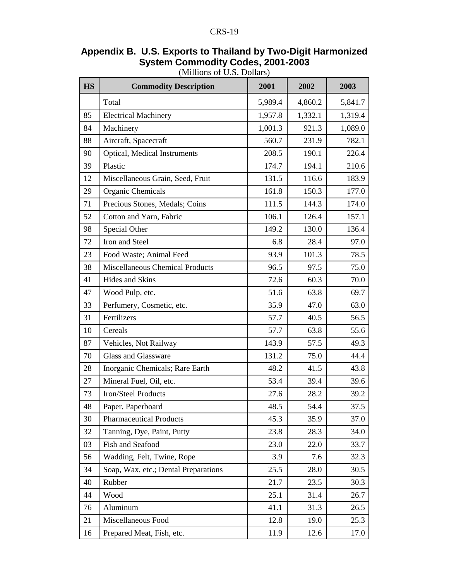| <b>HS</b> | <b>Commodity Description</b>           | 2001    | 2002    | 2003    |
|-----------|----------------------------------------|---------|---------|---------|
|           | Total                                  | 5,989.4 | 4,860.2 | 5,841.7 |
| 85        | <b>Electrical Machinery</b>            | 1,957.8 | 1,332.1 | 1,319.4 |
| 84        | Machinery                              | 1,001.3 | 921.3   | 1,089.0 |
| 88        | Aircraft, Spacecraft                   | 560.7   | 231.9   | 782.1   |
| 90        | Optical, Medical Instruments           | 208.5   | 190.1   | 226.4   |
| 39        | Plastic                                | 174.7   | 194.1   | 210.6   |
| 12        | Miscellaneous Grain, Seed, Fruit       | 131.5   | 116.6   | 183.9   |
| 29        | Organic Chemicals                      | 161.8   | 150.3   | 177.0   |
| 71        | Precious Stones, Medals; Coins         | 111.5   | 144.3   | 174.0   |
| 52        | Cotton and Yarn, Fabric                | 106.1   | 126.4   | 157.1   |
| 98        | Special Other                          | 149.2   | 130.0   | 136.4   |
| 72        | Iron and Steel                         | 6.8     | 28.4    | 97.0    |
| 23        | Food Waste; Animal Feed                | 93.9    | 101.3   | 78.5    |
| 38        | <b>Miscellaneous Chemical Products</b> | 96.5    | 97.5    | 75.0    |
| 41        | Hides and Skins                        | 72.6    | 60.3    | 70.0    |
| 47        | Wood Pulp, etc.                        | 51.6    | 63.8    | 69.7    |
| 33        | Perfumery, Cosmetic, etc.              | 35.9    | 47.0    | 63.0    |
| 31        | Fertilizers                            | 57.7    | 40.5    | 56.5    |
| 10        | Cereals                                | 57.7    | 63.8    | 55.6    |
| 87        | Vehicles, Not Railway                  | 143.9   | 57.5    | 49.3    |
| 70        | <b>Glass and Glassware</b>             | 131.2   | 75.0    | 44.4    |
| 28        | Inorganic Chemicals; Rare Earth        | 48.2    | 41.5    | 43.8    |
| 27        | Mineral Fuel, Oil, etc.                | 53.4    | 39.4    | 39.6    |
| 73        | <b>Iron/Steel Products</b>             | 27.6    | 28.2    | 39.2    |
| 48        | Paper, Paperboard                      | 48.5    | 54.4    | 37.5    |
| 30        | <b>Pharmaceutical Products</b>         | 45.3    | 35.9    | 37.0    |
| 32        | Tanning, Dye, Paint, Putty             | 23.8    | 28.3    | 34.0    |
| 03        | Fish and Seafood                       | 23.0    | 22.0    | 33.7    |
| 56        | Wadding, Felt, Twine, Rope             | 3.9     | 7.6     | 32.3    |
| 34        | Soap, Wax, etc.; Dental Preparations   | 25.5    | 28.0    | 30.5    |
| 40        | Rubber                                 | 21.7    | 23.5    | 30.3    |
| 44        | Wood                                   | 25.1    | 31.4    | 26.7    |
| 76        | Aluminum                               | 41.1    | 31.3    | 26.5    |
| 21        | Miscellaneous Food                     | 12.8    | 19.0    | 25.3    |
| 16        | Prepared Meat, Fish, etc.              | 11.9    | 12.6    | 17.0    |

## **Appendix B. U.S. Exports to Thailand by Two-Digit Harmonized System Commodity Codes, 2001-2003**

(Millions of U.S. Dollars)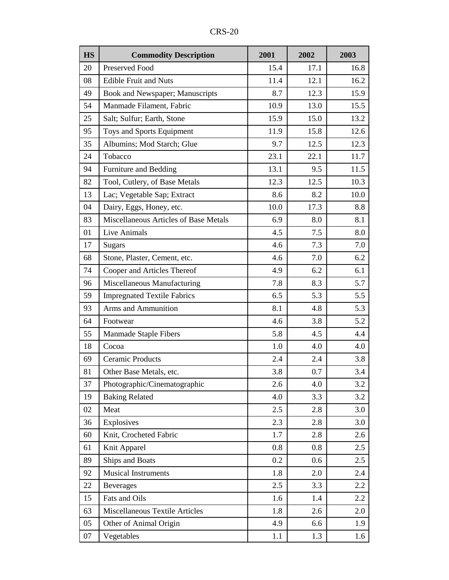| D<br>c<br>20<br>-C/T |
|----------------------|
|----------------------|

| <b>HS</b> | <b>Commodity Description</b>          | 2001 | 2002 | 2003 |
|-----------|---------------------------------------|------|------|------|
| 20        | Preserved Food                        | 15.4 | 17.1 | 16.8 |
| 08        | <b>Edible Fruit and Nuts</b>          | 11.4 | 12.1 | 16.2 |
| 49        | Book and Newspaper; Manuscripts       | 8.7  | 12.3 | 15.9 |
| 54        | Manmade Filament, Fabric              | 10.9 | 13.0 | 15.5 |
| 25        | Salt; Sulfur; Earth, Stone            | 15.9 | 15.0 | 13.2 |
| 95        | Toys and Sports Equipment             | 11.9 | 15.8 | 12.6 |
| 35        | Albumins; Mod Starch; Glue            | 9.7  | 12.5 | 12.3 |
| 24        | Tobacco                               | 23.1 | 22.1 | 11.7 |
| 94        | Furniture and Bedding                 | 13.1 | 9.5  | 11.5 |
| 82        | Tool, Cutlery, of Base Metals         | 12.3 | 12.5 | 10.3 |
| 13        | Lac; Vegetable Sap; Extract           | 8.6  | 8.2  | 10.0 |
| 04        | Dairy, Eggs, Honey, etc.              | 10.0 | 17.3 | 8.8  |
| 83        | Miscellaneous Articles of Base Metals | 6.9  | 8.0  | 8.1  |
| 01        | Live Animals                          | 4.5  | 7.5  | 8.0  |
| 17        | <b>Sugars</b>                         | 4.6  | 7.3  | 7.0  |
| 68        | Stone, Plaster, Cement, etc.          | 4.6  | 7.0  | 6.2  |
| 74        | Cooper and Articles Thereof           | 4.9  | 6.2  | 6.1  |
| 96        | Miscellaneous Manufacturing           | 7.8  | 8.3  | 5.7  |
| 59        | <b>Impregnated Textile Fabrics</b>    | 6.5  | 5.3  | 5.5  |
| 93        | Arms and Ammunition                   | 8.1  | 4.8  | 5.3  |
| 64        | Footwear                              | 4.6  | 3.8  | 5.2  |
| 55        | <b>Manmade Staple Fibers</b>          | 5.8  | 4.5  | 4.4  |
| 18        | Cocoa                                 | 1.0  | 4.0  | 4.0  |
| 69        | <b>Ceramic Products</b>               | 2.4  | 2.4  | 3.8  |
| 81        | Other Base Metals, etc.               | 3.8  | 0.7  | 3.4  |
| 37        | Photographic/Cinematographic          | 2.6  | 4.0  | 3.2  |
| 19        | <b>Baking Related</b>                 | 4.0  | 3.3  | 3.2  |
| 02        | Meat                                  | 2.5  | 2.8  | 3.0  |
| 36        | Explosives                            | 2.3  | 2.8  | 3.0  |
| 60        | Knit, Crocheted Fabric                | 1.7  | 2.8  | 2.6  |
| 61        | Knit Apparel                          | 0.8  | 0.8  | 2.5  |
| 89        | Ships and Boats                       | 0.2  | 0.6  | 2.5  |
| 92        | <b>Musical Instruments</b>            | 1.8  | 2.0  | 2.4  |
| 22        | <b>Beverages</b>                      | 2.5  | 3.3  | 2.2  |
| 15        | Fats and Oils                         | 1.6  | 1.4  | 2.2  |
| 63        | Miscellaneous Textile Articles        | 1.8  | 2.6  | 2.0  |
| 05        | Other of Animal Origin                | 4.9  | 6.6  | 1.9  |
| 07        | Vegetables                            | 1.1  | 1.3  | 1.6  |